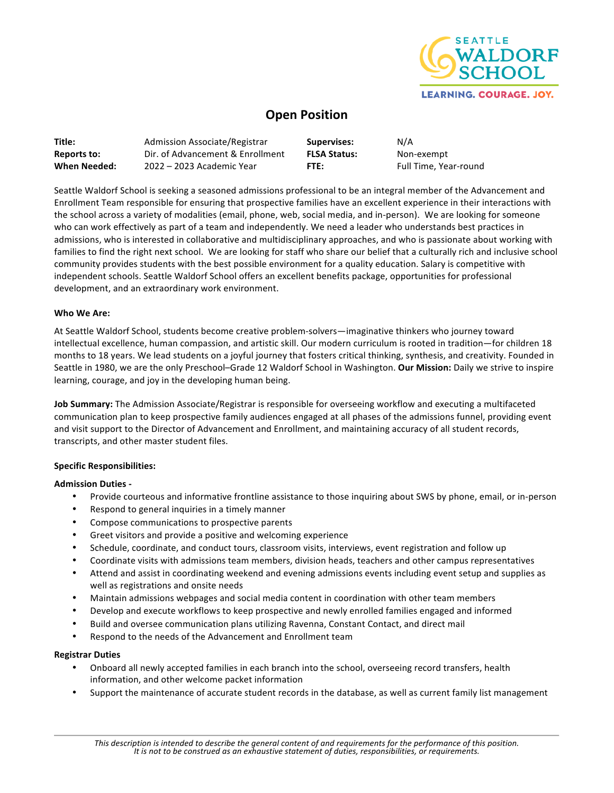

# **Open Position**

| Title:       | Admission Associate/Registrar    | Supervises:         | N/A                   |
|--------------|----------------------------------|---------------------|-----------------------|
| Reports to:  | Dir. of Advancement & Enrollment | <b>FLSA Status:</b> | Non-exempt            |
| When Needed: | 2022 – 2023 Academic Year        | FTE:                | Full Time, Year-round |

Seattle Waldorf School is seeking a seasoned admissions professional to be an integral member of the Advancement and Enrollment Team responsible for ensuring that prospective families have an excellent experience in their interactions with the school across a variety of modalities (email, phone, web, social media, and in-person). We are looking for someone who can work effectively as part of a team and independently. We need a leader who understands best practices in admissions, who is interested in collaborative and multidisciplinary approaches, and who is passionate about working with families to find the right next school. We are looking for staff who share our belief that a culturally rich and inclusive school community provides students with the best possible environment for a quality education. Salary is competitive with independent schools. Seattle Waldorf School offers an excellent benefits package, opportunities for professional development, and an extraordinary work environment.

### **Who We Are:**

At Seattle Waldorf School, students become creative problem-solvers—imaginative thinkers who journey toward intellectual excellence, human compassion, and artistic skill. Our modern curriculum is rooted in tradition—for children 18 months to 18 years. We lead students on a joyful journey that fosters critical thinking, synthesis, and creativity. Founded in Seattle in 1980, we are the only Preschool-Grade 12 Waldorf School in Washington. Our Mission: Daily we strive to inspire learning, courage, and joy in the developing human being.

**Job Summary:** The Admission Associate/Registrar is responsible for overseeing workflow and executing a multifaceted communication plan to keep prospective family audiences engaged at all phases of the admissions funnel, providing event and visit support to the Director of Advancement and Enrollment, and maintaining accuracy of all student records, transcripts, and other master student files.

#### **Specific Responsibilities:**

#### **Admission Duties -**

- Provide courteous and informative frontline assistance to those inquiring about SWS by phone, email, or in-person
- Respond to general inquiries in a timely manner
- Compose communications to prospective parents
- Greet visitors and provide a positive and welcoming experience
- Schedule, coordinate, and conduct tours, classroom visits, interviews, event registration and follow up
- Coordinate visits with admissions team members, division heads, teachers and other campus representatives
- Attend and assist in coordinating weekend and evening admissions events including event setup and supplies as well as registrations and onsite needs
- Maintain admissions webpages and social media content in coordination with other team members
- Develop and execute workflows to keep prospective and newly enrolled families engaged and informed
- Build and oversee communication plans utilizing Ravenna, Constant Contact, and direct mail
- Respond to the needs of the Advancement and Enrollment team

#### **Registrar Duties**

- Onboard all newly accepted families in each branch into the school, overseeing record transfers, health information, and other welcome packet information
- Support the maintenance of accurate student records in the database, as well as current family list management